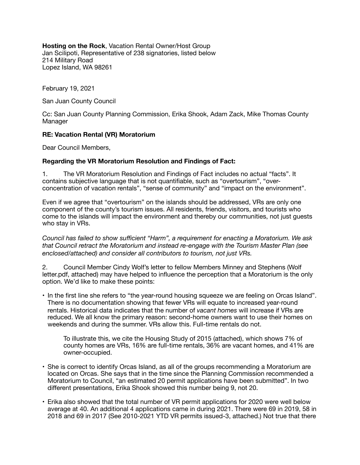**Hosting on the Rock**, Vacation Rental Owner/Host Group Jan Scilipoti, Representative of 238 signatories, listed below 214 Military Road Lopez Island, WA 98261

February 19, 2021

San Juan County Council

Cc: San Juan County Planning Commission, Erika Shook, Adam Zack, Mike Thomas County **Manager** 

### **RE: Vacation Rental (VR) Moratorium**

Dear Council Members,

### **Regarding the VR Moratorium Resolution and Findings of Fact:**

1. The VR Moratorium Resolution and Findings of Fact includes no actual "facts". It contains subjective language that is not quantifiable, such as "overtourism", "overconcentration of vacation rentals", "sense of community" and "impact on the environment".

Even if we agree that "overtourism" on the islands should be addressed, VRs are only one component of the county's tourism issues. All residents, friends, visitors, and tourists who come to the islands will impact the environment and thereby our communities, not just guests who stay in VRs.

*Council has failed to show sufficient "Harm", a requirement for enacting a Moratorium. We ask that Council retract the Moratorium and instead re-engage with the Tourism Master Plan (see enclosed/attached) and consider all contributors to tourism, not just VRs.* 

2. Council Member Cindy Wolf's letter to fellow Members Minney and Stephens (Wolf letter.pdf, attached) may have helped to influence the perception that a Moratorium is the only option. We'd like to make these points:

• In the first line she refers to "the year-round housing squeeze we are feeling on Orcas Island". There is no documentation showing that fewer VRs will equate to increased year-round rentals. Historical data indicates that the number of *vacant homes* will increase if VRs are reduced. We all know the primary reason: second-home owners want to use their homes on weekends and during the summer. VRs allow this. Full-time rentals do not.

To illustrate this, we cite the Housing Study of 2015 (attached), which shows 7% of county homes are VRs, 16% are full-time rentals, 36% are vacant homes, and 41% are owner-occupied.

- She is correct to identify Orcas Island, as all of the groups recommending a Moratorium are located on Orcas. She says that in the time since the Planning Commission recommended a Moratorium to Council, "an estimated 20 permit applications have been submitted". In two different presentations, Erika Shook showed this number being 9, not 20.
- Erika also showed that the total number of VR permit applications for 2020 were well below average at 40. An additional 4 applications came in during 2021. There were 69 in 2019, 58 in 2018 and 69 in 2017 (See 2010-2021 YTD VR permits issued-3, attached.) Not true that there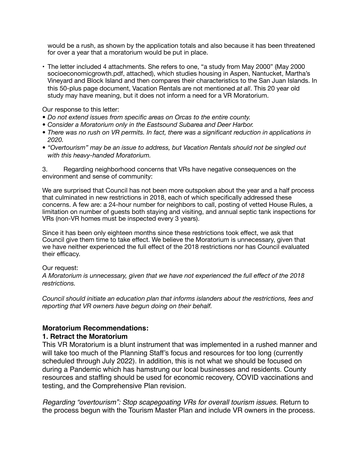would be a rush, as shown by the application totals and also because it has been threatened for over a year that a moratorium would be put in place.

• The letter included 4 attachments. She refers to one, "a study from May 2000" (May 2000 socioeconomicgrowth.pdf, attached), which studies housing in Aspen, Nantucket, Martha's Vineyard and Block Island and then compares their characteristics to the San Juan Islands. In this 50-plus page document, Vacation Rentals are not mentioned *at all*. This 20 year old study may have meaning, but it does not inform a need for a VR Moratorium.

Our response to this letter:

- *• Do not extend issues from specific areas on Orcas to the entire county.*
- *• Consider a Moratorium only in the Eastsound Subarea and Deer Harbor.*
- *• There was no rush on VR permits. In fact, there was a significant reduction in applications in 2020.*
- *• "Overtourism" may be an issue to address, but Vacation Rentals should not be singled out with this heavy-handed Moratorium.*

3. Regarding neighborhood concerns that VRs have negative consequences on the environment and sense of community:

We are surprised that Council has not been more outspoken about the year and a half process that culminated in new restrictions in 2018, each of which specifically addressed these concerns. A few are: a 24-hour number for neighbors to call, posting of vetted House Rules, a limitation on number of guests both staying and visiting, and annual septic tank inspections for VRs (non-VR homes must be inspected every 3 years).

Since it has been only eighteen months since these restrictions took effect, we ask that Council give them time to take effect. We believe the Moratorium is unnecessary, given that we have neither experienced the full effect of the 2018 restrictions nor has Council evaluated their efficacy.

#### Our request:

*A Moratorium is unnecessary, given that we have not experienced the full effect of the 2018 restrictions.* 

*Council should initiate an education plan that informs islanders about the restrictions, fees and reporting that VR owners have begun doing on their behalf.* 

### **Moratorium Recommendations:**

### **1. Retract the Moratorium**

This VR Moratorium is a blunt instrument that was implemented in a rushed manner and will take too much of the Planning Staff's focus and resources for too long (currently scheduled through July 2022). In addition, this is not what we should be focused on during a Pandemic which has hamstrung our local businesses and residents. County resources and staffing should be used for economic recovery, COVID vaccinations and testing, and the Comprehensive Plan revision.

*Regarding "overtourism": Stop scapegoating VRs for overall tourism issues.* Return to the process begun with the Tourism Master Plan and include VR owners in the process.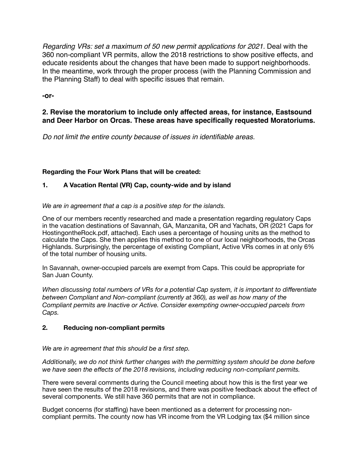*Regarding VRs: set a maximum of 50 new permit applications for 2021.* Deal with the 360 non-compliant VR permits, allow the 2018 restrictions to show positive effects, and educate residents about the changes that have been made to support neighborhoods. In the meantime, work through the proper process (with the Planning Commission and the Planning Staff) to deal with specific issues that remain.

**-or-**

# **2. Revise the moratorium to include only affected areas, for instance, Eastsound and Deer Harbor on Orcas. These areas have specifically requested Moratoriums.**

*Do not limit the entire county because of issues in identifiable areas.*

# **Regarding the Four Work Plans that will be created:**

# **1. A Vacation Rental (VR) Cap, county-wide and by island**

*We are in agreement that a cap is a positive step for the islands.* 

One of our members recently researched and made a presentation regarding regulatory Caps in the vacation destinations of Savannah, GA, Manzanita, OR and Yachats, OR (2021 Caps for HostingontheRock.pdf, attached). Each uses a percentage of housing units as the method to calculate the Caps. She then applies this method to one of our local neighborhoods, the Orcas Highlands. Surprisingly, the percentage of existing Compliant, Active VRs comes in at only 6% of the total number of housing units.

In Savannah, owner-occupied parcels are exempt from Caps. This could be appropriate for San Juan County.

*When discussing total numbers of VRs for a potential Cap system, it is important to differentiate between Compliant and Non-compliant (currently at 360), as well as how many of the Compliant permits are Inactive or Active. Consider exempting owner-occupied parcels from Caps.* 

## **2. Reducing non-compliant permits**

*We are in agreement that this should be a first step.*

*Additionally, we do not think further changes with the permitting system should be done before we have seen the effects of the 2018 revisions, including reducing non-compliant permits.* 

There were several comments during the Council meeting about how this is the first year we have seen the results of the 2018 revisions, and there was positive feedback about the effect of several components. We still have 360 permits that are not in compliance.

Budget concerns (for staffing) have been mentioned as a deterrent for processing noncompliant permits. The county now has VR income from the VR Lodging tax (\$4 million since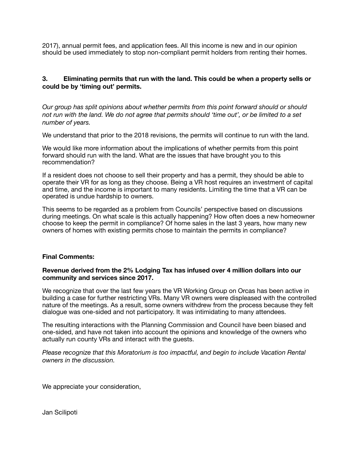2017), annual permit fees, and application fees. All this income is new and in our opinion should be used immediately to stop non-compliant permit holders from renting their homes.

## **3. Eliminating permits that run with the land. This could be when a property sells or could be by 'timing out' permits.**

*Our group has split opinions about whether permits from this point forward should or should not run with the land. We do not agree that permits should 'time out', or be limited to a set number of years.*

We understand that prior to the 2018 revisions, the permits will continue to run with the land.

We would like more information about the implications of whether permits from this point forward should run with the land. What are the issues that have brought you to this recommendation?

If a resident does not choose to sell their property and has a permit, they should be able to operate their VR for as long as they choose. Being a VR host requires an investment of capital and time, and the income is important to many residents. Limiting the time that a VR can be operated is undue hardship to owners.

This seems to be regarded as a problem from Councils' perspective based on discussions during meetings. On what scale is this actually happening? How often does a new homeowner choose to keep the permit in compliance? Of home sales in the last 3 years, how many new owners of homes with existing permits chose to maintain the permits in compliance?

#### **Final Comments:**

#### **Revenue derived from the 2% Lodging Tax has infused over 4 million dollars into our community and services since 2017.**

We recognize that over the last few years the VR Working Group on Orcas has been active in building a case for further restricting VRs. Many VR owners were displeased with the controlled nature of the meetings. As a result, some owners withdrew from the process because they felt dialogue was one-sided and not participatory. It was intimidating to many attendees.

The resulting interactions with the Planning Commission and Council have been biased and one-sided, and have not taken into account the opinions and knowledge of the owners who actually run county VRs and interact with the guests.

*Please recognize that this Moratorium is too impactful, and begin to include Vacation Rental owners in the discussion.* 

We appreciate your consideration,

Jan Scilipoti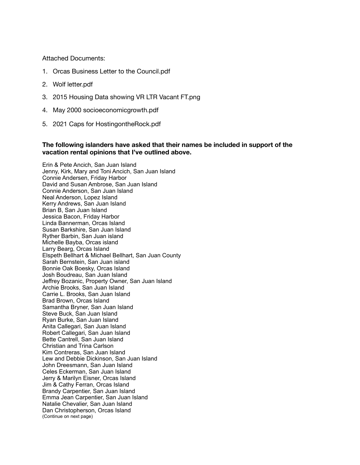Attached Documents:

- 1. Orcas Business Letter to the Council.pdf
- 2. Wolf letter.pdf
- 3. 2015 Housing Data showing VR LTR Vacant FT.png
- 4. May 2000 socioeconomicgrowth.pdf
- 5. 2021 Caps for HostingontheRock.pdf

#### **The following islanders have asked that their names be included in support of the vacation rental opinions that I've outlined above.**

Erin & Pete Ancich, San Juan Island Jenny, Kirk, Mary and Toni Ancich, San Juan Island Connie Andersen, Friday Harbor David and Susan Ambrose, San Juan Island Connie Anderson, San Juan Island Neal Anderson, Lopez Island Kerry Andrews, San Juan Island Brian B, San Juan Island Jessica Bacon, Friday Harbor Linda Bannerman, Orcas Island Susan Barkshire, San Juan Island Ryther Barbin, San Juan island Michelle Bayba, Orcas island Larry Bearg, Orcas Island Elspeth Bellhart & Michael Bellhart, San Juan County Sarah Bernstein, San Juan island Bonnie Oak Boesky, Orcas Island Josh Boudreau, San Juan Island Jeffrey Bozanic, Property Owner, San Juan Island Archie Brooks, San Juan Island Carrie L. Brooks, San Juan Island Brad Brown, Orcas Island Samantha Bryner, San Juan Island Steve Buck, San Juan Island Ryan Burke, San Juan Island Anita Callegari, San Juan Island Robert Callegari, San Juan Island Bette Cantrell, San Juan Island Christian and Trina Carlson Kim Contreras, San Juan Island Lew and Debbie Dickinson, San Juan Island John Dreesmann, San Juan Island Celes Eckerman, San Juan Island Jerry & Marilyn Eisner, Orcas Island Jim & Cathy Ferran, Orcas Island Brandy Carpentier, San Juan Island Emma Jean Carpentier, San Juan Island Natalie Chevalier, San Juan Island Dan Christopherson, Orcas Island (Continue on next page)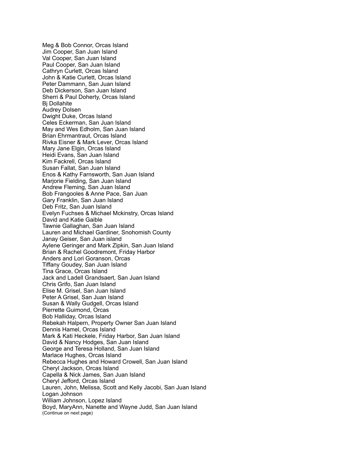Meg & Bob Connor, Orcas Island Jim Cooper, San Juan Island Val Cooper, San Juan Island Paul Cooper, San Juan Island Cathryn Curlett, Orcas Island John & Katie Curlett, Orcas Island Peter Dammann, San Juan Island Deb Dickerson, San Juan Island Sherri & Paul Doherty, Orcas Island Bj Dollahite Audrey Dolsen Dwight Duke, Orcas Island Celes Eckerman, San Juan Island May and Wes Edholm, San Juan Island Brian Ehrmantraut, Orcas Island Rivka Eisner & Mark Lever, Orcas Island Mary Jane Elgin, Orcas Island Heidi Evans, San Juan Island Kim Fackrell, Orcas Island Susan Fallat, San Juan Island Enos & Kathy Farnsworth, San Juan Island Marjorie Fielding, San Juan Island Andrew Fleming, San Juan Island Bob Frangooles & Anne Pace, San Juan Gary Franklin, San Juan Island Deb Fritz, San Juan Island Evelyn Fuchses & Michael Mckinstry, Orcas Island David and Katie Gaible Tawnie Gallaghan, San Juan Island Lauren and Michael Gardiner, Snohomish County Janay Geiser, San Juan island Aylene Geringer and Mark Zipkin, San Juan Island Brian & Rachel Goodremont, Friday Harbor Anders and Lori Goranson, Orcas Tiffany Goudey, San Juan Island Tina Grace, Orcas Island Jack and Ladell Grandsaert, San Juan Island Chris Grifo, San Juan Island Elise M. Grisel, San Juan Island Peter A Grisel, San Juan Island Susan & Wally Gudgell, Orcas Island Pierrette Guimond, Orcas Bob Halliday, Orcas Island Rebekah Halpern, Property Owner San Juan Island Dennis Hamel, Orcas Island Mark & Kati Heckele, Friday Harbor, San Juan Island David & Nancy Hodges, San Juan Island George and Teresa Holland, San Juan Island Marlace Hughes, Orcas Island Rebecca Hughes and Howard Crowell, San Juan Island Cheryl Jackson, Orcas Island Capella & Nick James, San Juan Island Cheryl Jefford, Orcas Island Lauren, John, Melissa, Scott and Kelly Jacobi, San Juan Island Logan Johnson William Johnson, Lopez Island Boyd, MaryAnn, Nanette and Wayne Judd, San Juan Island (Continue on next page)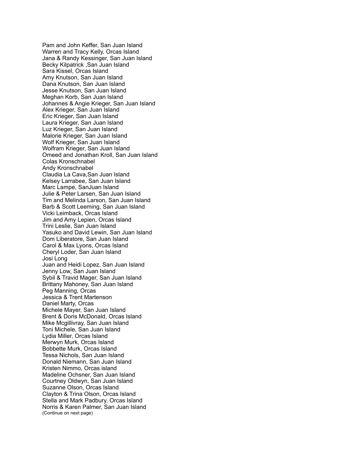Pam and John Keffer, San Juan Island Warren and Tracy Kelly, Orcas Island Jana & Randy Kessinger, San Juan Island Becky Kilpatrick ,San Juan Island Sara Kissel, Orcas Island Amy Knutson, San Juan Island Dana Knutson, San Juan Island Jesse Knutson, San Juan Island Meghan Korb, San Juan Island Johannes & Angie Krieger, San Juan Island Alex Krieger, San Juan Island Eric Krieger, San Juan Island Laura Krieger, San Juan Island Luz Krieger, San Juan Island Malorie Krieger, San Juan Island Wolf Krieger, San Juan Island Wolfram Krieger, San Juan Island Omeed and Jonathan Kroll, San Juan Island Colas Kronschnabel Andy Kronschnabel Claudia La Cava,San Juan Island Kelsey Larrabee, San Juan Island Marc Lampe, SanJuan Island Julie & Peter Larsen, San Juan Island Tim and Melinda Larson, San Juan Island Barb & Scott Leeming, San Juan Island Vicki Leimback, Orcas Island Jim and Amy Lepien, Orcas Island Trini Leslie, San Juan Island Yasuko and David Lewin, San Juan Island Dom Liberatore, San Juan Island Carol & Max Lyons, Orcas Island Cheryl Loder, San Juan Island Josi Long Juan and Heidi Lopez, San Juan Island Jenny Low, San Juan Island Sybil & Travid Mager, San Juan Island Brittany Mahoney, San Juan Island Peg Manning, Orcas Jessica & Trent Martenson Daniel Marty, Orcas Michele Mayer, San Juan Island Brent & Doris McDonald, Orcas Island Mike Mcgillivray, San Juan Island Toni Michele, San Juan Island Lydia Miller, Orcas Island Merwyn Murk, Orcas Island Bobbette Murk, Orcas Island Tessa Nichols, San Juan Island Donald Niemann, San Juan Island Kristen Nimmo, Orcas island Madeline Ochsner, San Juan Island Courtney Oldwyn, San Juan Island Suzanne Olson, Orcas Island Clayton & Trina Olson, Orcas Island Stella and Mark Padbury, Orcas Island Norris & Karen Palmer, San Juan Island (Continue on next page)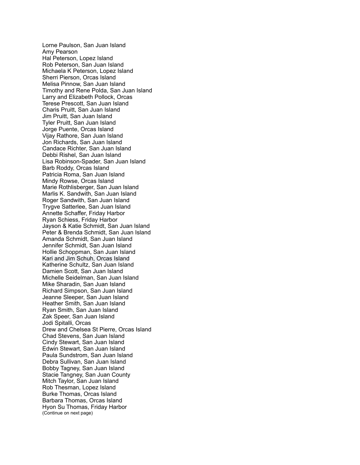Lorne Paulson, San Juan Island Amy Pearson Hal Peterson, Lopez Island Rob Peterson, San Juan Island Michaela K Peterson, Lopez Island Sherri Pierson, Orcas Island Melisa Pinnow, San Juan Island Timothy and Rene Polda, San Juan Island Larry and Elizabeth Pollock, Orcas Terese Prescott, San Juan Island Charis Pruitt, San Juan Island Jim Pruitt, San Juan Island Tyler Pruitt, San Juan Island Jorge Puente, Orcas Island Vijay Rathore, San Juan Island Jon Richards, San Juan Island Candace Richter, San Juan Island Debbi Rishel, San Juan Island Lisa Robinson-Spader, San Juan Island Barb Roddy, Orcas Island Patricia Roma, San Juan Island Mindy Rowse, Orcas Island Marie Rothlisberger, San Juan Island Marlis K. Sandwith, San Juan Island Roger Sandwith, San Juan Island Trygve Satterlee, San Juan Island Annette Schaffer, Friday Harbor Ryan Schiess, Friday Harbor Jayson & Katie Schmidt, San Juan Island Peter & Brenda Schmidt, San Juan Island Amanda Schmidt, San Juan Island Jennifer Schmidt, San Juan Island Hollie Schoppman, San Juan Island Kari and Jim Schuh, Orcas Island Katherine Schultz, San Juan Island Damien Scott, San Juan Island Michelle Seidelman, San Juan Island Mike Sharadin, San Juan Island Richard Simpson, San Juan Island Jeanne Sleeper, San Juan Island Heather Smith, San Juan Island Ryan Smith, San Juan Island Zak Speer, San Juan Island Jodi Spitalli, Orcas Drew and Chelsea St Pierre, Orcas Island Chad Stevens, San Juan Island Cindy Stewart, San Juan Island Edwin Stewart, San Juan Island Paula Sundstrom, San Juan Island Debra Sullivan, San Juan Island Bobby Tagney, San Juan Island Stacie Tangney, San Juan County Mitch Taylor, San Juan Island Rob Thesman, Lopez Island Burke Thomas, Orcas Island Barbara Thomas, Orcas Island Hyon Su Thomas, Friday Harbor (Continue on next page)